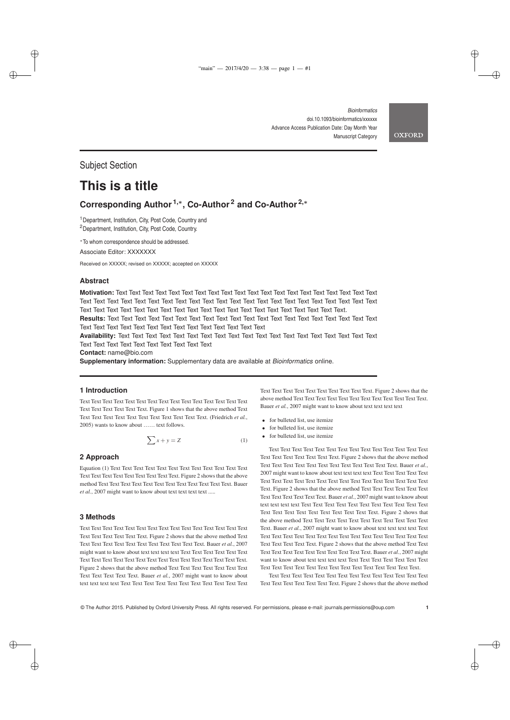*Bioinformatics* doi.10.1093/bioinformatics/xxxxxx Advance Access Publication Date: Day Month Year Manuscript Category

**OXFORD** 

✐

✐

✐

✐

Subject Section

✐

✐

# **This is a title**

# **Corresponding Author 1,**<sup>∗</sup> **, Co-Author <sup>2</sup> and Co-Author 2,**<sup>∗</sup>

<sup>1</sup>Department, Institution, City, Post Code, Country and <sup>2</sup>Department, Institution, City, Post Code, Country.

<sup>∗</sup>To whom correspondence should be addressed.

Associate Editor: XXXXXXX

Received on XXXXX; revised on XXXXX; accepted on XXXXX

# **Abstract**

**Motivation:** Text Text Text Text Text Text Text Text Text Text Text Text Text Text Text Text Text Text Text Text Text Text Text Text Text Text Text Text Text Text Text Text Text Text Text Text Text Text Text Text Text Text Text Text Text Text Text Text Text Text Text Text Text Text Text Text Text Text Text Text Text Text.

**Results:** Text Text Text Text Text Text Text Text Text Text Text Text Text Text Text Text Text Text Text Text Text Text Text Text Text Text Text Text Text Text Text Text Text Text

**Availability:** Text Text Text Text Text Text Text Text Text Text Text Text Text Text Text Text Text Text Text Text Text Text Text Text Text Text Text Text Text

**Contact:** name@bio.com

**Supplementary information:** Supplementary data are available at *Bioinformatics* online.

# **1 Introduction**

Text Text Text Text Text Text Text Text Text Text Text Text Text Text Text Text Text Text Text Text Text. Figure 1 shows that the above method Text Text Text Text Text Text Text Text Text Text Text Text. (Friedrich *et al.*, 2005) wants to know about …… text follows.

$$
\sum x + y = Z \tag{1}
$$

## **2 Approach**

Equation (1) Text Text Text Text Text Text Text Text Text Text Text Text Text Text Text Text Text Text Text Text Text. Figure 2 shows that the above method Text Text Text Text Text Text Text Text Text Text Text Text. Bauer et al., 2007 might want to know about text text text text .....

# **3 Methods**

✐

✐

Text Text Text Text Text Text Text Text Text Text Text Text Text Text Text Text Text Text Text Text Text. Figure 2 shows that the above method Text Text Text Text Text Text Text Text Text Text Text Text. Bauer *et al.*, 2007 might want to know about text text text text Text Text Text Text Text Text Text Text Text Text Text Text Text Text Text Text Text Text Text Text Text. Figure 2 shows that the above method Text Text Text Text Text Text Text Text Text Text Text Text. Bauer *et al.*, 2007 might want to know about text text text text Text Text Text Text Text Text Text Text Text Text Text Text Text Text Text Text Text Text Text Text Text. Figure 2 shows that the above method Text Text Text Text Text Text Text Text Text Text Text Text. Bauer *et al.*, 2007 might want to know about text text text text

- for bulleted list, use itemize
- for bulleted list, use itemize
- for bulleted list, use itemize

Text Text Text Text Text Text Text Text Text Text Text Text Text Text Text Text Text Text Text Text Text. Figure 2 shows that the above method Text Text Text Text Text Text Text Text Text Text Text Text. Bauer *et al.*, 2007 might want to know about text text text text Text Text Text Text Text Text Text Text Text Text Text Text Text Text Text Text Text Text Text Text Text. Figure 2 shows that the above method Text Text Text Text Text Text Text Text Text Text Text Text. Bauer *et al.*, 2007 might want to know about text text text text Text Text Text Text Text Text Text Text Text Text Text Text Text Text Text Text Text Text Text Text Text. Figure 2 shows that the above method Text Text Text Text Text Text Text Text Text Text Text Text. Bauer *et al.*, 2007 might want to know about text text text text Text Text Text Text Text Text Text Text Text Text Text Text Text Text Text Text Text Text Text Text Text. Figure 2 shows that the above method Text Text Text Text Text Text Text Text Text Text Text Text. Bauer *et al.*, 2007 might want to know about text text text text Text Text Text Text Text Text Text Text Text Text Text Text Text Text Text Text Text Text Text Text Text.

Text Text Text Text Text Text Text Text Text Text Text Text Text Text Text Text Text Text Text Text Text. Figure 2 shows that the above method

© The Author 2015. Published by Oxford University Press. All rights reserved. For permissions, please e-mail: journals.permissions@oup.com **1**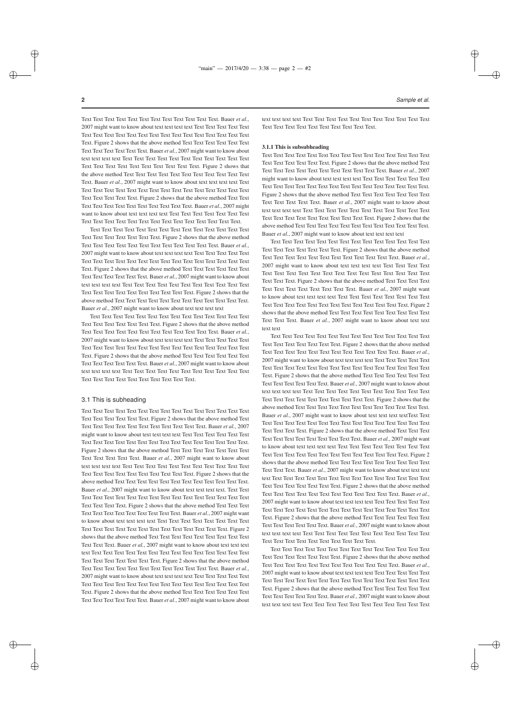✐

✐

✐

✐

Text Text Text Text Text Text Text Text Text Text Text Text. Bauer *et al.* , 2007 might want to know about text text text text Text Text Text Text Text Text Text Text Text Text Text Text Text Text Text Text Text Text Text Text Text. Figure 2 shows that the above method Text Text Text Text Text Text Text Text Text Text Text Text. Bauer *et al.*, 2007 might want to know about text text text text Text Text Text Text Text Text Text Text Text Text Text Text Text Text Text Text Text Text Text Text Text. Figure 2 shows that the above method Text Text Text Text Text Text Text Text Text Text Text Text. Bauer *et al.*, 2007 might want to know about text text text text Text Text Text Text Text Text Text Text Text Text Text Text Text Text Text Text Text Text Text Text Text. Figure 2 shows that the above method Text Text Text Text Text Text Text Text Text Text Text Text. Bauer *et al.*, 2007 might want to know about text text text text Text Text Text Text Text Text Text Text Text Text Text Text Text Text Text Text Text Text Text Text Text.

Text Text Text Text Text Text Text Text Text Text Text Text Text Text Text Text Text Text Text Text Text. Figure 2 shows that the above method Text Text Text Text Text Text Text Text Text Text Text Text. Bauer *et al.* , 2007 might want to know about text text text text Text Text Text Text Text Text Text Text Text Text Text Text Text Text Text Text Text Text Text Text Text. Figure 2 shows that the above method Text Text Text Text Text Text Text Text Text Text Text Text. Bauer *et al.*, 2007 might want to know about text text text text Text Text Text Text Text Text Text Text Text Text Text Text Text Text Text Text Text Text Text Text Text. Figure 2 shows that the above method Text Text Text Text Text Text Text Text Text Text Text Text. Bauer *et al.*, 2007 might want to know about text text text text

Text Text Text Text Text Text Text Text Text Text Text Text Text Text Text Text Text Text Text Text Text. Figure 2 shows that the above method Text Text Text Text Text Text Text Text Text Text Text Text. Bauer *et al.* , 2007 might want to know about text text text text Text Text Text Text Text Text Text Text Text Text Text Text Text Text Text Text Text Text Text Text Text. Figure 2 shows that the above method Text Text Text Text Text Text Text Text Text Text Text Text. Bauer *et al.*, 2007 might want to know about text text text text Text Text Text Text Text Text Text Text Text Text Text Text Text Text Text Text Text Text Text Text Text.

## 3.1 This is subheading

Text Text Text Text Text Text Text Text Text Text Text Text Text Text Text Text Text Text Text Text Text. Figure 2 shows that the above method Text Text Text Text Text Text Text Text Text Text Text Text. Bauer *et al.*, 2007 might want to know about text text text text Text Text Text Text Text Text Text Text Text Text Text Text Text Text Text Text Text Text Text Text Text. Figure 2 shows that the above method Text Text Text Text Text Text Text Text Text Text Text Text. Bauer *et al.*, 2007 might want to know about text text text text Text Text Text Text Text Text Text Text Text Text Text Text Text Text Text Text Text Text Text Text Text. Figure 2 shows that the above method Text Text Text Text Text Text Text Text Text Text Text Text. Bauer *et al.*, 2007 might want to know about text text text text. Text Text Text Text Text Text Text Text Text Text Text Text Text Text Text Text Text Text Text Text Text. Figure 2 shows that the above method Text Text Text Text Text Text Text Text Text Text Text Text. Bauer *et al.*, 2007 might want to know about text text text text Text Text Text Text Text Text Text Text Text Text Text Text Text Text Text Text Text Text Text Text Text. Figure 2 shows that the above method Text Text Text Text Text Text Text Text Text Text Text Text. Bauer *et al.*, 2007 might want to know about text text text text Text Text Text Text Text Text Text Text Text Text Text Text Text Text Text Text Text Text Text Text Text. Figure 2 shows that the above method Text Text Text Text Text Text Text Text Text Text Text Text. Bauer *et al.* , 2007 might want to know about text text text text Text Text Text Text Text Text Text Text Text Text Text Text Text Text Text Text Text Text Text Text Text. Figure 2 shows that the above method Text Text Text Text Text Text Text Text Text Text Text Text. Bauer *et al.*, 2007 might want to know about

**2** *Sample et al.*

text text text text Text Text Text Text Text Text Text Text Text Text Text Text Text Text Text Text Text Text Text Text Text.

#### 3.1.1 This is subsubheading

Text Text Text Text Text Text Text Text Text Text Text Text Text Text Text Text Text Text Text Text Text. Figure 2 shows that the above method Text Text Text Text Text Text Text Text Text Text Text Text. Bauer *et al.*, 2007 might want to know about text text text text Text Text Text Text Text Text Text Text Text Text Text Text Text Text Text Text Text Text Text Text Text. Figure 2 shows that the above method Text Text Text Text Text Text Text Text Text Text Text Text. Bauer *et al.*, 2007 might want to know about text text text text Text Text Text Text Text Text Text Text Text Text Text Text Text Text Text Text Text Text Text Text Text. Figure 2 shows that the above method Text Text Text Text Text Text Text Text Text Text Text Text. Bauer *et al.*, 2007 might want to know about text text text text

Text Text Text Text Text Text Text Text Text Text Text Text Text Text Text Text Text Text Text Text Text. Figure 2 shows that the above method Text Text Text Text Text Text Text Text Text Text Text Text. Bauer *et al.* , 2007 might want to know about text text text text Text Text Text Text Text Text Text Text Text Text Text Text Text Text Text Text Text Text Text Text Text. Figure 2 shows that the above method Text Text Text Text Text Text Text Text Text Text Text Text. Bauer *et al.*, 2007 might want to know about text text text text Text Text Text Text Text Text Text Text Text Text Text Text Text Text Text Text Text Text Text Text Text. Figure 2 shows that the above method Text Text Text Text Text Text Text Text Text Text Text Text. Bauer *et al.*, 2007 might want to know about text text text text

Text Text Text Text Text Text Text Text Text Text Text Text Text Text Text Text Text Text Text Text Text. Figure 2 shows that the above method Text Text Text Text Text Text Text Text Text Text Text Text. Bauer *et al.* , 2007 might want to know about text text text text Text Text Text Text Text Text Text Text Text Text Text Text Text Text Text Text Text Text Text Text Text. Figure 2 shows that the above method Text Text Text Text Text Text Text Text Text Text Text Text. Bauer *et al.*, 2007 might want to know about text text text text Text Text Text Text Text Text Text Text Text Text Text Text Text Text Text Text Text Text Text Text Text. Figure 2 shows that the above method Text Text Text Text Text Text Text Text Text Text Text Text. Bauer et al., 2007 might want to know about text text text textText Text Text Text Text Text Text Text Text Text Text Text Text Text Text Text Text Text Text Text Text. Figure 2 shows that the above method Text Text Text Text Text Text Text Text Text Text Text Text. Bauer *et al.*, 2007 might want to know about text text text text Text Text Text Text Text Text Text Text Text Text Text Text Text Text Text Text Text Text Text Text Text. Figure 2 shows that the above method Text Text Text Text Text Text Text Text Text Text Text Text. Bauer *et al.*, 2007 might want to know about text text text text Text Text Text Text Text Text Text Text Text Text Text Text Text Text Text Text Text Text Text Text Text. Figure 2 shows that the above method Text Text Text Text Text Text Text Text Text Text Text Text. Bauer *et al.* , 2007 might want to know about text text text text Text Text Text Text Text Text Text Text Text Text Text Text Text Text Text Text Text Text Text Text Text. Figure 2 shows that the above method Text Text Text Text Text Text Text Text Text Text Text Text. Bauer *et al.*, 2007 might want to know about text text text text Text Text Text Text Text Text Text Text Text Text Text Text Text Text Text Text Text Text Text Text Text.

Text Text Text Text Text Text Text Text Text Text Text Text Text Text Text Text Text Text Text Text Text. Figure 2 shows that the above method Text Text Text Text Text Text Text Text Text Text Text Text. Bauer *et al.* , 2007 might want to know about text text text text Text Text Text Text Text Text Text Text Text Text Text Text Text Text Text Text Text Text Text Text Text. Figure 2 shows that the above method Text Text Text Text Text Text Text Text Text Text Text Text. Bauer *et al.*, 2007 might want to know about text text text text Text Text Text Text Text Text Text Text Text Text Text

✐

✐

✐

✐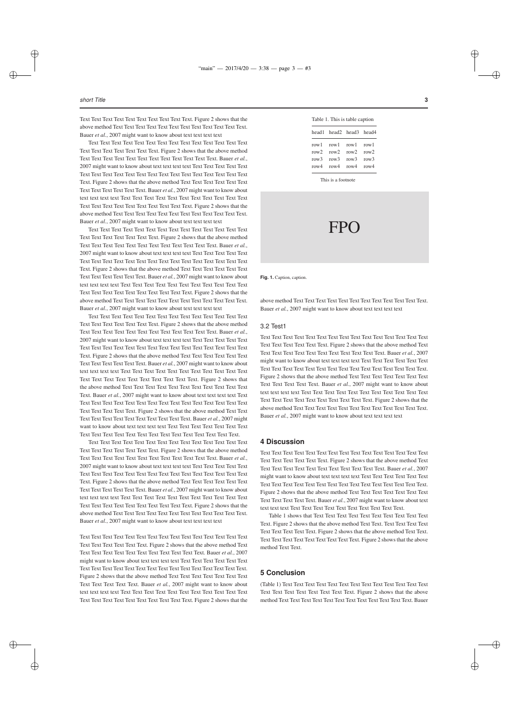#### *short Title* **3**

✐

✐

✐

✐

Text Text Text Text Text Text Text Text Text Text. Figure 2 shows that the above method Text Text Text Text Text Text Text Text Text Text Text Text. Bauer *et al.*, 2007 might want to know about text text text text

Text Text Text Text Text Text Text Text Text Text Text Text Text Text Text Text Text Text Text Text Text. Figure 2 shows that the above method Text Text Text Text Text Text Text Text Text Text Text Text. Bauer *et al.*, 2007 might want to know about text text text text Text Text Text Text Text Text Text Text Text Text Text Text Text Text Text Text Text Text Text Text Text. Figure 2 shows that the above method Text Text Text Text Text Text Text Text Text Text Text Text. Bauer *et al.*, 2007 might want to know about text text text text Text Text Text Text Text Text Text Text Text Text Text Text Text Text Text Text Text Text Text Text Text. Figure 2 shows that the above method Text Text Text Text Text Text Text Text Text Text Text Text. Bauer *et al.*, 2007 might want to know about text text text text

Text Text Text Text Text Text Text Text Text Text Text Text Text Text Text Text Text Text Text Text Text. Figure 2 shows that the above method Text Text Text Text Text Text Text Text Text Text Text Text. Bauer *et al.*, 2007 might want to know about text text text text Text Text Text Text Text Text Text Text Text Text Text Text Text Text Text Text Text Text Text Text Text. Figure 2 shows that the above method Text Text Text Text Text Text Text Text Text Text Text Text. Bauer *et al.*, 2007 might want to know about text text text text Text Text Text Text Text Text Text Text Text Text Text Text Text Text Text Text Text Text Text Text Text. Figure 2 shows that the above method Text Text Text Text Text Text Text Text Text Text Text Text. Bauer *et al.*, 2007 might want to know about text text text text

Text Text Text Text Text Text Text Text Text Text Text Text Text Text Text Text Text Text Text Text Text. Figure 2 shows that the above method Text Text Text Text Text Text Text Text Text Text Text Text. Bauer *et al.*, 2007 might want to know about text text text text Text Text Text Text Text Text Text Text Text Text Text Text Text Text Text Text Text Text Text Text Text. Figure 2 shows that the above method Text Text Text Text Text Text Text Text Text Text Text Text. Bauer *et al.*, 2007 might want to know about text text text text Text Text Text Text Text Text Text Text Text Text Text Text Text Text Text Text Text Text Text Text Text. Figure 2 shows that the above method Text Text Text Text Text Text Text Text Text Text Text Text. Bauer *et al.*, 2007 might want to know about text text text text Text Text Text Text Text Text Text Text Text Text Text Text Text Text Text Text Text Text Text Text Text. Figure 2 shows that the above method Text Text Text Text Text Text Text Text Text Text Text Text. Bauer *et al.*, 2007 might want to know about text text text text Text Text Text Text Text Text Text Text Text Text Text Text Text Text Text Text Text Text Text Text Text.

Text Text Text Text Text Text Text Text Text Text Text Text Text Text Text Text Text Text Text Text Text. Figure 2 shows that the above method Text Text Text Text Text Text Text Text Text Text Text Text. Bauer *et al.*, 2007 might want to know about text text text text Text Text Text Text Text Text Text Text Text Text Text Text Text Text Text Text Text Text Text Text Text. Figure 2 shows that the above method Text Text Text Text Text Text Text Text Text Text Text Text. Bauer *et al.*, 2007 might want to know about text text text text Text Text Text Text Text Text Text Text Text Text Text Text Text Text Text Text Text Text Text Text Text. Figure 2 shows that the above method Text Text Text Text Text Text Text Text Text Text Text Text. Bauer *et al.*, 2007 might want to know about text text text text

Text Text Text Text Text Text Text Text Text Text Text Text Text Text Text Text Text Text Text Text Text. Figure 2 shows that the above method Text Text Text Text Text Text Text Text Text Text Text Text. Bauer *et al.*, 2007 might want to know about text text text text Text Text Text Text Text Text Text Text Text Text Text Text Text Text Text Text Text Text Text Text Text. Figure 2 shows that the above method Text Text Text Text Text Text Text Text Text Text Text Text. Bauer *et al.*, 2007 might want to know about text text text text Text Text Text Text Text Text Text Text Text Text Text Text Text Text Text Text Text Text Text Text Text. Figure 2 shows that the

| Table 1. This is table caption |                                                                                          |  |  |
|--------------------------------|------------------------------------------------------------------------------------------|--|--|
|                                | head1 head2 head3 head4                                                                  |  |  |
|                                | row1 row1 row1 row1<br>row2 row2 row2 row2<br>row3 row3 row3 row3<br>row4 row4 row4 row4 |  |  |
|                                |                                                                                          |  |  |

This is a footnote

# FPO

**Fig. 1.** Caption, caption.

above method Text Text Text Text Text Text Text Text Text Text Text Text. Bauer *et al.*, 2007 might want to know about text text text text

## 3.2 Test1

Text Text Text Text Text Text Text Text Text Text Text Text Text Text Text Text Text Text Text Text Text. Figure 2 shows that the above method Text Text Text Text Text Text Text Text Text Text Text Text. Bauer *et al.*, 2007 might want to know about text text text text Text Text Text Text Text Text Text Text Text Text Text Text Text Text Text Text Text Text Text Text Text. Figure 2 shows that the above method Text Text Text Text Text Text Text Text Text Text Text Text. Bauer *et al.*, 2007 might want to know about text text text text Text Text Text Text Text Text Text Text Text Text Text Text Text Text Text Text Text Text Text Text Text. Figure 2 shows that the above method Text Text Text Text Text Text Text Text Text Text Text Text. Bauer *et al.*, 2007 might want to know about text text text text

#### **4 Discussion**

Text Text Text Text Text Text Text Text Text Text Text Text Text Text Text Text Text Text Text Text Text. Figure 2 shows that the above method Text Text Text Text Text Text Text Text Text Text Text Text. Bauer *et al.*, 2007 might want to know about text text text text Text Text Text Text Text Text Text Text Text Text Text Text Text Text Text Text Text Text Text Text Text. Figure 2 shows that the above method Text Text Text Text Text Text Text Text Text Text Text Text. Bauer *et al.*, 2007 might want to know about text text text text Text Text Text Text Text Text Text Text Text Text.

Table 1 shows that Text Text Text Text Text Text Text Text Text Text Text. Figure 2 shows that the above method Text Text. Text Text Text Text Text Text Text Text Text. Figure 2 shows that the above method Text Text. Text Text Text Text Text Text Text Text Text. Figure 2 shows that the above method Text Text.

# **5 Conclusion**

(Table 1) Text Text Text Text Text Text Text Text Text Text Text Text Text Text Text Text Text Text Text Text Text. Figure 2 shows that the above method Text Text Text Text Text Text Text Text Text Text Text Text. Bauer

✐

✐

✐

✐